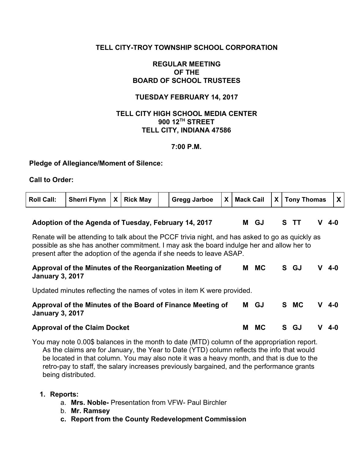## **TELL CITY-TROY TOWNSHIP SCHOOL CORPORATION**

## **REGULAR MEETING OF THE BOARD OF SCHOOL TRUSTEES**

## **TUESDAY FEBRUARY 14, 2017**

## **TELL CITY HIGH SCHOOL MEDIA CENTER 900 12 TH STREET TELL CITY, INDIANA 47586**

#### **7:00 P.M.**

#### **Pledge of Allegiance/Moment of Silence:**

#### **Call to Order:**

| <b>Roll Call:</b> | Sherri Flynn $\vert X \vert$ Rick May |  | <b>Same Series Series Series Series Series</b> |  | $\vert$ X   Mack Cail $\vert$ X   Tony Thomas | $\mathbf{X}$ |
|-------------------|---------------------------------------|--|------------------------------------------------|--|-----------------------------------------------|--------------|
|                   |                                       |  |                                                |  |                                               |              |

### **Adoption of the Agenda of Tuesday, February 14, 2017 M GJ S TT V 4-0**

Renate will be attending to talk about the PCCF trivia night, and has asked to go as quickly as possible as she has another commitment. I may ask the board indulge her and allow her to present after the adoption of the agenda if she needs to leave ASAP.

#### **Approval of the Minutes of the Reorganization Meeting of January 3, 2017 M MC S GJ V 4-0**

Updated minutes reflecting the names of votes in item K were provided.

| Approval of the Minutes of the Board of Finance Meeting of | M GJ | S MC V 4-0 |  |
|------------------------------------------------------------|------|------------|--|
| <b>January 3, 2017</b>                                     |      |            |  |

#### **Approval of the Claim Docket M MC S GJ V 4-0**

You may note 0.00\$ balances in the month to date (MTD) column of the appropriation report. As the claims are for January, the Year to Date (YTD) column reflects the info that would be located in that column. You may also note it was a heavy month, and that is due to the retro-pay to staff, the salary increases previously bargained, and the performance grants being distributed.

#### **1. Reports:**

- a. **Mrs. Noble-** Presentation from VFW- Paul Birchler
- b. **Mr. Ramsey**
- **c. Report from the County Redevelopment Commission**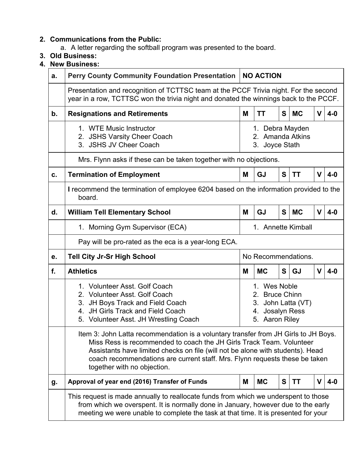# **2. Communications from the Public:**

- a. A letter regarding the softball program was presented to the board.
- **3. Old Business:**
- **4. New Business:**

| a. | Perry County Community Foundation Presentation                                                                                                                                                                                                                                                                                                              | <b>NO ACTION</b>                                                                                                      |           |   |           |             |       |  |  |  |
|----|-------------------------------------------------------------------------------------------------------------------------------------------------------------------------------------------------------------------------------------------------------------------------------------------------------------------------------------------------------------|-----------------------------------------------------------------------------------------------------------------------|-----------|---|-----------|-------------|-------|--|--|--|
|    | Presentation and recognition of TCTTSC team at the PCCF Trivia night. For the second<br>year in a row, TCTTSC won the trivia night and donated the winnings back to the PCCF.                                                                                                                                                                               |                                                                                                                       |           |   |           |             |       |  |  |  |
| b. | <b>Resignations and Retirements</b>                                                                                                                                                                                                                                                                                                                         | M                                                                                                                     | ΤT        | S | <b>MC</b> | $\mathbf v$ | $4-0$ |  |  |  |
|    | 1. WTE Music Instructor<br>2. JSHS Varsity Cheer Coach<br>3. JSHS JV Cheer Coach                                                                                                                                                                                                                                                                            | 1. Debra Mayden<br>2. Amanda Atkins<br>3. Joyce Stath                                                                 |           |   |           |             |       |  |  |  |
|    | Mrs. Flynn asks if these can be taken together with no objections.                                                                                                                                                                                                                                                                                          |                                                                                                                       |           |   |           |             |       |  |  |  |
| c. | <b>Termination of Employment</b>                                                                                                                                                                                                                                                                                                                            | <b>GJ</b><br>S<br>$\mathbf v$<br><b>TT</b><br>$4-0$<br>M                                                              |           |   |           |             |       |  |  |  |
|    | I recommend the termination of employee 6204 based on the information provided to the<br>board.                                                                                                                                                                                                                                                             |                                                                                                                       |           |   |           |             |       |  |  |  |
| d. | <b>William Tell Elementary School</b>                                                                                                                                                                                                                                                                                                                       | M                                                                                                                     | GJ        | S | <b>MC</b> | $\mathbf v$ | $4-0$ |  |  |  |
|    | 1. Morning Gym Supervisor (ECA)                                                                                                                                                                                                                                                                                                                             | 1. Annette Kimball                                                                                                    |           |   |           |             |       |  |  |  |
|    | Pay will be pro-rated as the eca is a year-long ECA.                                                                                                                                                                                                                                                                                                        |                                                                                                                       |           |   |           |             |       |  |  |  |
| е. | <b>Tell City Jr-Sr High School</b>                                                                                                                                                                                                                                                                                                                          | No Recommendations.                                                                                                   |           |   |           |             |       |  |  |  |
| f. | <b>Athletics</b>                                                                                                                                                                                                                                                                                                                                            | M                                                                                                                     | <b>MC</b> | S | GJ        | $\mathbf V$ | $4-0$ |  |  |  |
|    | 1. Volunteer Asst. Golf Coach<br>2. Volunteer Asst. Golf Coach<br>3. JH Boys Track and Field Coach<br>JH Girls Track and Field Coach<br>4.<br>5. Volunteer Asst. JH Wrestling Coach                                                                                                                                                                         | 1. Wes Noble<br><b>Bruce Chinn</b><br>2 <sub>1</sub><br>3.<br>John Latta (VT)<br>Josalyn Ress<br>4.<br>5. Aaron Riley |           |   |           |             |       |  |  |  |
|    | Item 3: John Latta recommendation is a voluntary transfer from JH Girls to JH Boys.<br>Miss Ress is recommended to coach the JH Girls Track Team, Volunteer<br>Assistants have limited checks on file (will not be alone with students). Head<br>coach recommendations are current staff. Mrs. Flynn requests these be taken<br>together with no objection. |                                                                                                                       |           |   |           |             |       |  |  |  |
| g. | Approval of year end (2016) Transfer of Funds                                                                                                                                                                                                                                                                                                               | M                                                                                                                     | <b>MC</b> | S | <b>TT</b> | $\mathbf V$ | $4-0$ |  |  |  |
|    | This request is made annually to reallocate funds from which we underspent to those<br>from which we overspent. It is normally done in January, however due to the early<br>meeting we were unable to complete the task at that time. It is presented for your                                                                                              |                                                                                                                       |           |   |           |             |       |  |  |  |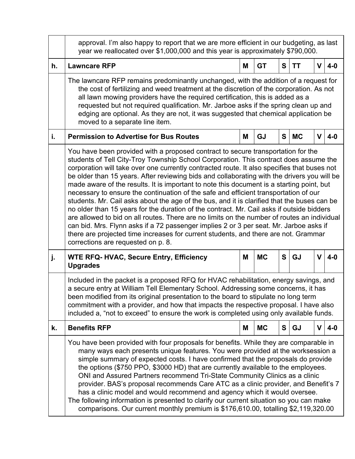|    | approval. I'm also happy to report that we are more efficient in our budgeting, as last<br>year we reallocated over \$1,000,000 and this year is approximately \$790,000.                                                                                                                                                                                                                                                                                                                                                                                                                                                                                                                                                                                                                                                                                                                                                                                                                                                                                                      |   |           |   |           |             |       |  |  |  |
|----|--------------------------------------------------------------------------------------------------------------------------------------------------------------------------------------------------------------------------------------------------------------------------------------------------------------------------------------------------------------------------------------------------------------------------------------------------------------------------------------------------------------------------------------------------------------------------------------------------------------------------------------------------------------------------------------------------------------------------------------------------------------------------------------------------------------------------------------------------------------------------------------------------------------------------------------------------------------------------------------------------------------------------------------------------------------------------------|---|-----------|---|-----------|-------------|-------|--|--|--|
| h. | <b>Lawncare RFP</b>                                                                                                                                                                                                                                                                                                                                                                                                                                                                                                                                                                                                                                                                                                                                                                                                                                                                                                                                                                                                                                                            | Μ | <b>GT</b> | S | <b>TT</b> | $\mathbf V$ | $4-0$ |  |  |  |
|    | The lawncare RFP remains predominantly unchanged, with the addition of a request for<br>the cost of fertilizing and weed treatment at the discretion of the corporation. As not<br>all lawn mowing providers have the required certification, this is added as a<br>requested but not required qualification. Mr. Jarboe asks if the spring clean up and<br>edging are optional. As they are not, it was suggested that chemical application be<br>moved to a separate line item.                                                                                                                                                                                                                                                                                                                                                                                                                                                                                                                                                                                              |   |           |   |           |             |       |  |  |  |
| i. | <b>Permission to Advertise for Bus Routes</b>                                                                                                                                                                                                                                                                                                                                                                                                                                                                                                                                                                                                                                                                                                                                                                                                                                                                                                                                                                                                                                  | M | GJ        | S | <b>MC</b> | V           | $4-0$ |  |  |  |
|    | You have been provided with a proposed contract to secure transportation for the<br>students of Tell City-Troy Township School Corporation. This contract does assume the<br>corporation will take over one currently contracted route. It also specifies that buses not<br>be older than 15 years. After reviewing bids and collaborating with the drivers you will be<br>made aware of the results. It is important to note this document is a starting point, but<br>necessary to ensure the continuation of the safe and efficient transportation of our<br>students. Mr. Cail asks about the age of the bus, and it is clarified that the buses can be<br>no older than 15 years for the duration of the contract. Mr. Cail asks if outside bidders<br>are allowed to bid on all routes. There are no limits on the number of routes an individual<br>can bid. Mrs. Flynn asks if a 72 passenger implies 2 or 3 per seat. Mr. Jarboe asks if<br>there are projected time increases for current students, and there are not. Grammar<br>corrections are requested on p. 8. |   |           |   |           |             |       |  |  |  |
| j. | <b>WTE RFQ- HVAC, Secure Entry, Efficiency</b><br><b>Upgrades</b>                                                                                                                                                                                                                                                                                                                                                                                                                                                                                                                                                                                                                                                                                                                                                                                                                                                                                                                                                                                                              | Μ | <b>MC</b> | S | <b>GJ</b> | $\mathbf V$ | $4-0$ |  |  |  |
|    | Included in the packet is a proposed RFQ for HVAC rehabilitation, energy savings, and<br>a secure entry at William Tell Elementary School. Addressing some concerns, it has<br>been modified from its original presentation to the board to stipulate no long term<br>commitment with a provider, and how that impacts the respective proposal. I have also<br>included a, "not to exceed" to ensure the work is completed using only available funds.                                                                                                                                                                                                                                                                                                                                                                                                                                                                                                                                                                                                                         |   |           |   |           |             |       |  |  |  |
| k. | <b>Benefits RFP</b>                                                                                                                                                                                                                                                                                                                                                                                                                                                                                                                                                                                                                                                                                                                                                                                                                                                                                                                                                                                                                                                            | M | <b>MC</b> | S | GJ        | V           | $4-0$ |  |  |  |
|    | You have been provided with four proposals for benefits. While they are comparable in<br>many ways each presents unique features. You were provided at the worksession a<br>simple summary of expected costs. I have confirmed that the proposals do provide<br>the options (\$750 PPO, \$3000 HD) that are currently available to the employees.<br>ONI and Assured Partners recommend Tri-State Community Clinics as a clinic<br>provider. BAS's proposal recommends Care ATC as a clinic provider, and Benefit's 7<br>has a clinic model and would recommend and agency which it would oversee.<br>The following information is presented to clarify our current situation so you can make<br>comparisons. Our current monthly premium is \$176,610.00, totalling \$2,119,320.00                                                                                                                                                                                                                                                                                            |   |           |   |           |             |       |  |  |  |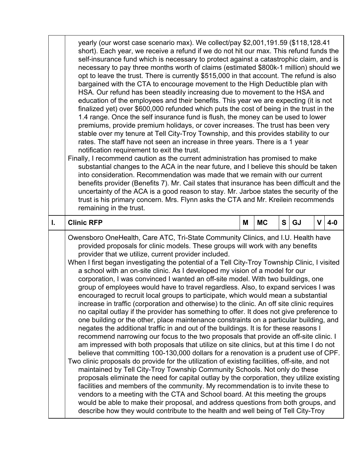|    | yearly (our worst case scenario max). We collect/pay \$2,001,191.59 (\$118,128.41)<br>short). Each year, we receive a refund if we do not hit our max. This refund funds the<br>self-insurance fund which is necessary to protect against a catastrophic claim, and is<br>necessary to pay three months worth of claims (estimated \$800k-1 million) should we<br>opt to leave the trust. There is currently \$515,000 in that account. The refund is also<br>bargained with the CTA to encourage movement to the High Deductible plan with<br>HSA. Our refund has been steadily increasing due to movement to the HSA and<br>education of the employees and their benefits. This year we are expecting (it is not<br>finalized yet) over \$600,000 refunded which puts the cost of being in the trust in the<br>1.4 range. Once the self insurance fund is flush, the money can be used to lower<br>premiums, provide premium holidays, or cover increases. The trust has been very<br>stable over my tenure at Tell City-Troy Township, and this provides stability to our<br>rates. The staff have not seen an increase in three years. There is a 1 year<br>notification requirement to exit the trust.<br>Finally, I recommend caution as the current administration has promised to make<br>substantial changes to the ACA in the near future, and I believe this should be taken<br>into consideration. Recommendation was made that we remain with our current<br>benefits provider (Benefits 7). Mr. Cail states that insurance has been difficult and the<br>uncertainty of the ACA is a good reason to stay. Mr. Jarboe states the security of the<br>trust is his primary concern. Mrs. Flynn asks the CTA and Mr. Kreilein recommends                                                                                                                                                                                                                |   |           |   |    |             |       |  |  |
|----|-------------------------------------------------------------------------------------------------------------------------------------------------------------------------------------------------------------------------------------------------------------------------------------------------------------------------------------------------------------------------------------------------------------------------------------------------------------------------------------------------------------------------------------------------------------------------------------------------------------------------------------------------------------------------------------------------------------------------------------------------------------------------------------------------------------------------------------------------------------------------------------------------------------------------------------------------------------------------------------------------------------------------------------------------------------------------------------------------------------------------------------------------------------------------------------------------------------------------------------------------------------------------------------------------------------------------------------------------------------------------------------------------------------------------------------------------------------------------------------------------------------------------------------------------------------------------------------------------------------------------------------------------------------------------------------------------------------------------------------------------------------------------------------------------------------------------------------------------------------------------------------------------------------------------------------------------------------------|---|-----------|---|----|-------------|-------|--|--|
| I. | <b>Clinic RFP</b>                                                                                                                                                                                                                                                                                                                                                                                                                                                                                                                                                                                                                                                                                                                                                                                                                                                                                                                                                                                                                                                                                                                                                                                                                                                                                                                                                                                                                                                                                                                                                                                                                                                                                                                                                                                                                                                                                                                                                 | M | <b>MC</b> | S | GJ | $\mathbf v$ | $4-0$ |  |  |
|    | Owensboro OneHealth, Care ATC, Tri-State Community Clinics, and I.U. Health have<br>provided proposals for clinic models. These groups will work with any benefits<br>provider that we utilize, current provider included.<br>When I first began investigating the potential of a Tell City-Troy Township Clinic, I visited<br>a school with an on-site clinic. As I developed my vision of a model for our<br>corporation, I was convinced I wanted an off-site model. With two buildings, one<br>group of employees would have to travel regardless. Also, to expand services I was<br>encouraged to recruit local groups to participate, which would mean a substantial<br>increase in traffic (corporation and otherwise) to the clinic. An off site clinic requires<br>no capital outlay if the provider has something to offer. It does not give preference to<br>one building or the other, place maintenance constraints on a particular building, and<br>negates the additional traffic in and out of the buildings. It is for these reasons I<br>recommend narrowing our focus to the two proposals that provide an off-site clinic. I<br>am impressed with both proposals that utilize on site clinics, but at this time I do not<br>believe that committing 100-130,000 dollars for a renovation is a prudent use of CPF.<br>Two clinic proposals do provide for the utilization of existing facilities, off-site, and not<br>maintained by Tell City-Troy Township Community Schools. Not only do these<br>proposals eliminate the need for capital outlay by the corporation, they utilize existing<br>facilities and members of the community. My recommendation is to invite these to<br>vendors to a meeting with the CTA and School board. At this meeting the groups<br>would be able to make their proposal, and address questions from both groups, and<br>describe how they would contribute to the health and well being of Tell City-Troy |   |           |   |    |             |       |  |  |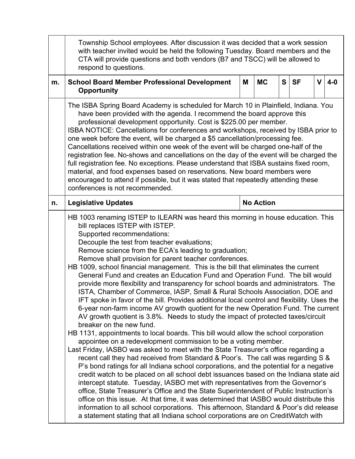|    | Township School employees. After discussion it was decided that a work session<br>with teacher invited would be held the following Tuesday. Board members and the<br>CTA will provide questions and both vendors (B7 and TSCC) will be allowed to<br>respond to questions.                                                                                                                                                                                                                                                                                                                                                                                                                                                                                                                                                                                                                                                                                                                                                                                                                                                                                                                                                                                                                                                                                                                                                                                                                                                                                                                                                                                                                                                                                                                                                                                                                                                                  |                  |           |   |           |             |       |  |  |
|----|---------------------------------------------------------------------------------------------------------------------------------------------------------------------------------------------------------------------------------------------------------------------------------------------------------------------------------------------------------------------------------------------------------------------------------------------------------------------------------------------------------------------------------------------------------------------------------------------------------------------------------------------------------------------------------------------------------------------------------------------------------------------------------------------------------------------------------------------------------------------------------------------------------------------------------------------------------------------------------------------------------------------------------------------------------------------------------------------------------------------------------------------------------------------------------------------------------------------------------------------------------------------------------------------------------------------------------------------------------------------------------------------------------------------------------------------------------------------------------------------------------------------------------------------------------------------------------------------------------------------------------------------------------------------------------------------------------------------------------------------------------------------------------------------------------------------------------------------------------------------------------------------------------------------------------------------|------------------|-----------|---|-----------|-------------|-------|--|--|
| m. | <b>School Board Member Professional Development</b><br>Opportunity                                                                                                                                                                                                                                                                                                                                                                                                                                                                                                                                                                                                                                                                                                                                                                                                                                                                                                                                                                                                                                                                                                                                                                                                                                                                                                                                                                                                                                                                                                                                                                                                                                                                                                                                                                                                                                                                          | Μ                | <b>MC</b> | S | <b>SF</b> | $\mathbf V$ | $4-0$ |  |  |
|    | The ISBA Spring Board Academy is scheduled for March 10 in Plainfield, Indiana. You<br>have been provided with the agenda. I recommend the board approve this<br>professional development opportunity. Cost is \$225.00 per member.<br>ISBA NOTICE: Cancellations for conferences and workshops, received by ISBA prior to<br>one week before the event, will be charged a \$5 cancellation/processing fee.<br>Cancellations received within one week of the event will be charged one-half of the<br>registration fee. No-shows and cancellations on the day of the event will be charged the<br>full registration fee. No exceptions. Please understand that ISBA sustains fixed room,<br>material, and food expenses based on reservations. New board members were<br>encouraged to attend if possible, but it was stated that repeatedly attending these<br>conferences is not recommended.                                                                                                                                                                                                                                                                                                                                                                                                                                                                                                                                                                                                                                                                                                                                                                                                                                                                                                                                                                                                                                             |                  |           |   |           |             |       |  |  |
| n. | <b>Legislative Updates</b>                                                                                                                                                                                                                                                                                                                                                                                                                                                                                                                                                                                                                                                                                                                                                                                                                                                                                                                                                                                                                                                                                                                                                                                                                                                                                                                                                                                                                                                                                                                                                                                                                                                                                                                                                                                                                                                                                                                  | <b>No Action</b> |           |   |           |             |       |  |  |
|    | HB 1003 renaming ISTEP to ILEARN was heard this morning in house education. This<br>bill replaces ISTEP with ISTEP.<br>Supported recommendations:<br>Decouple the test from teacher evaluations;<br>Remove science from the ECA's leading to graduation;<br>Remove shall provision for parent teacher conferences.<br>HB 1009, school financial management. This is the bill that eliminates the current<br>General Fund and creates an Education Fund and Operation Fund. The bill would<br>provide more flexibility and transparency for school boards and administrators. The<br>ISTA, Chamber of Commerce, IASP, Small & Rural Schools Association, DOE and<br>IFT spoke in favor of the bill. Provides additional local control and flexibility. Uses the<br>6-year non-farm income AV growth quotient for the new Operation Fund. The current<br>AV growth quotient is 3.8%. Needs to study the impact of protected taxes/circuit<br>breaker on the new fund.<br>HB 1131, appointments to local boards. This bill would allow the school corporation<br>appointee on a redevelopment commission to be a voting member.<br>Last Friday, IASBO was asked to meet with the State Treasurer's office regarding a<br>recent call they had received from Standard & Poor's. The call was regarding S &<br>P's bond ratings for all Indiana school corporations, and the potential for a negative<br>credit watch to be placed on all school debt issuances based on the Indiana state aid<br>intercept statute. Tuesday, IASBO met with representatives from the Governor's<br>office, State Treasurer's Office and the State Superintendent of Public Instruction's<br>office on this issue. At that time, it was determined that IASBO would distribute this<br>information to all school corporations. This afternoon, Standard & Poor's did release<br>a statement stating that all Indiana school corporations are on CreditWatch with |                  |           |   |           |             |       |  |  |